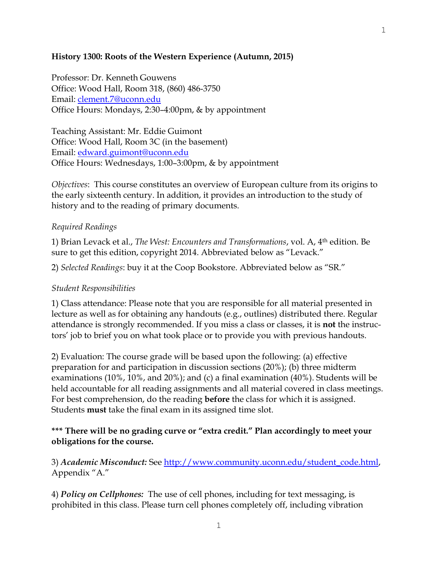## **History 1300: Roots of the Western Experience (Autumn, 2015)**

Professor: Dr. Kenneth Gouwens Office: Wood Hall, Room 318, (860) 486-3750 Email: [clement.7@uconn.edu](mailto:clement.7@uconn.edu) Office Hours: Mondays, 2:30–4:00pm, & by appointment

Teaching Assistant: Mr. Eddie Guimont Office: Wood Hall, Room 3C (in the basement) Email: [edward.guimont@uconn.edu](mailto:edward.guimont@uconn.edu) Office Hours: Wednesdays, 1:00–3:00pm, & by appointment

*Objectives*: This course constitutes an overview of European culture from its origins to the early sixteenth century. In addition, it provides an introduction to the study of history and to the reading of primary documents.

## *Required Readings*

1) Brian Levack et al., *The West: Encounters and Transformations*, vol. A, 4th edition. Be sure to get this edition, copyright 2014. Abbreviated below as "Levack."

2) *Selected Readings*: buy it at the Coop Bookstore. Abbreviated below as "SR."

## *Student Responsibilities*

1) Class attendance: Please note that you are responsible for all material presented in lecture as well as for obtaining any handouts (e.g., outlines) distributed there. Regular attendance is strongly recommended. If you miss a class or classes, it is **not** the instructors' job to brief you on what took place or to provide you with previous handouts.

2) Evaluation: The course grade will be based upon the following: (a) effective preparation for and participation in discussion sections (20%); (b) three midterm examinations (10%, 10%, and 20%); and (c) a final examination (40%). Students will be held accountable for all reading assignments and all material covered in class meetings. For best comprehension, do the reading **before** the class for which it is assigned. Students **must** take the final exam in its assigned time slot.

## **\*\*\* There will be no grading curve or "extra credit." Plan accordingly to meet your obligations for the course.**

3) *Academic Misconduct:* See [http://www.community.uconn.edu/student\\_code.html,](http://www.community.uconn.edu/student_code.html) Appendix "A."

4) *Policy on Cellphones:* The use of cell phones, including for text messaging, is prohibited in this class. Please turn cell phones completely off, including vibration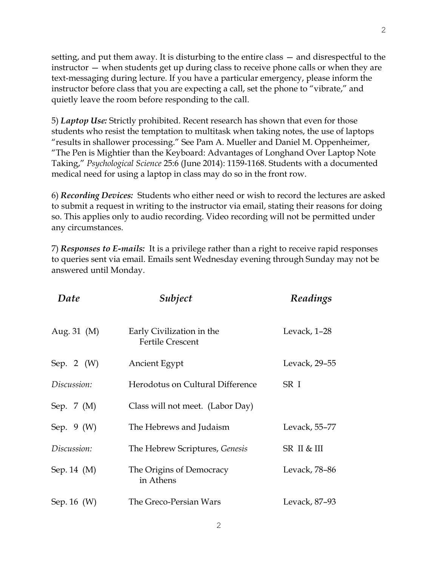setting, and put them away. It is disturbing to the entire class — and disrespectful to the instructor — when students get up during class to receive phone calls or when they are text-messaging during lecture. If you have a particular emergency, please inform the instructor before class that you are expecting a call, set the phone to "vibrate," and quietly leave the room before responding to the call.

5) *Laptop Use:* Strictly prohibited. Recent research has shown that even for those students who resist the temptation to multitask when taking notes, the use of laptops "results in shallower processing." See Pam A. Mueller and Daniel M. Oppenheimer, "The Pen is Mightier than the Keyboard: Advantages of Longhand Over Laptop Note Taking," *Psychological Science* 25:6 (June 2014): 1159-1168. Students with a documented medical need for using a laptop in class may do so in the front row.

6) *Recording Devices:* Students who either need or wish to record the lectures are asked to submit a request in writing to the instructor via email, stating their reasons for doing so. This applies only to audio recording. Video recording will not be permitted under any circumstances.

7) *Responses to E-mails:* It is a privilege rather than a right to receive rapid responses to queries sent via email. Emails sent Wednesday evening through Sunday may not be answered until Monday.

| Date             | Subject                                              | Readings      |
|------------------|------------------------------------------------------|---------------|
| Aug. 31 (M)      | Early Civilization in the<br><b>Fertile Crescent</b> | Levack, 1-28  |
| Sep. 2 $(W)$     | Ancient Egypt                                        | Levack, 29-55 |
| Discussion:      | Herodotus on Cultural Difference                     | SR I          |
| Sep. 7 (M)       | Class will not meet. (Labor Day)                     |               |
| Sep. $9(W)$      | The Hebrews and Judaism                              | Levack, 55–77 |
| Discussion:      | The Hebrew Scriptures, Genesis                       | SR II & III   |
| Sep. $14 \,$ (M) | The Origins of Democracy<br>in Athens                | Levack, 78–86 |
| Sep. 16 $(W)$    | The Greco-Persian Wars                               | Levack, 87-93 |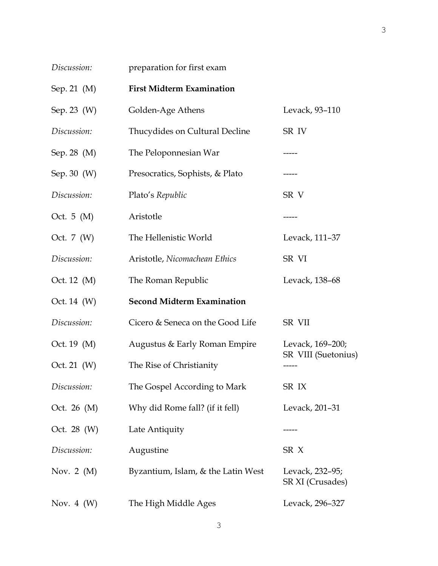| Discussion:  | preparation for first exam         |                                     |
|--------------|------------------------------------|-------------------------------------|
| Sep. 21 (M)  | <b>First Midterm Examination</b>   |                                     |
| Sep. 23 (W)  | Golden-Age Athens                  | Levack, 93-110                      |
| Discussion:  | Thucydides on Cultural Decline     | SR IV                               |
| Sep. 28 (M)  | The Peloponnesian War              |                                     |
| Sep. 30 (W)  | Presocratics, Sophists, & Plato    | -----                               |
| Discussion:  | Plato's Republic                   | SR V                                |
| Oct. $5(M)$  | Aristotle                          | -----                               |
| Oct. 7 (W)   | The Hellenistic World              | Levack, 111-37                      |
| Discussion:  | Aristotle, Nicomachean Ethics      | SR VI                               |
| Oct. 12 (M)  | The Roman Republic                 | Levack, 138-68                      |
| Oct. 14 (W)  | <b>Second Midterm Examination</b>  |                                     |
| Discussion:  | Cicero & Seneca on the Good Life   | SR VII                              |
| Oct. 19 (M)  | Augustus & Early Roman Empire      | Levack, 169-200;                    |
| Oct. 21 (W)  | The Rise of Christianity           | SR VIII (Suetonius)                 |
| Discussion:  | The Gospel According to Mark       | SR IX                               |
| Oct. 26 (M)  | Why did Rome fall? (if it fell)    | Levack, 201-31                      |
| Oct. 28 (W)  | Late Antiquity                     |                                     |
| Discussion:  | Augustine                          | SR <sub>X</sub>                     |
| Nov. 2 $(M)$ | Byzantium, Islam, & the Latin West | Levack, 232–95;<br>SR XI (Crusades) |
| Nov. 4 $(W)$ | The High Middle Ages               | Levack, 296-327                     |